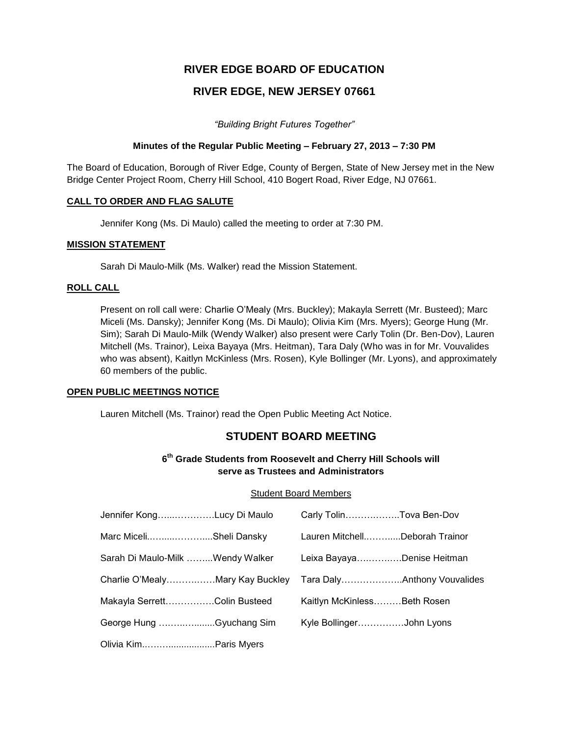# **RIVER EDGE BOARD OF EDUCATION**

# **RIVER EDGE, NEW JERSEY 07661**

*"Building Bright Futures Together"*

# **Minutes of the Regular Public Meeting – February 27, 2013 – 7:30 PM**

The Board of Education, Borough of River Edge, County of Bergen, State of New Jersey met in the New Bridge Center Project Room, Cherry Hill School, 410 Bogert Road, River Edge, NJ 07661.

# **CALL TO ORDER AND FLAG SALUTE**

Jennifer Kong (Ms. Di Maulo) called the meeting to order at 7:30 PM.

# **MISSION STATEMENT**

Sarah Di Maulo-Milk (Ms. Walker) read the Mission Statement.

# **ROLL CALL**

Present on roll call were: Charlie O'Mealy (Mrs. Buckley); Makayla Serrett (Mr. Busteed); Marc Miceli (Ms. Dansky); Jennifer Kong (Ms. Di Maulo); Olivia Kim (Mrs. Myers); George Hung (Mr. Sim); Sarah Di Maulo-Milk (Wendy Walker) also present were Carly Tolin (Dr. Ben-Dov), Lauren Mitchell (Ms. Trainor), Leixa Bayaya (Mrs. Heitman), Tara Daly (Who was in for Mr. Vouvalides who was absent), Kaitlyn McKinless (Mrs. Rosen), Kyle Bollinger (Mr. Lyons), and approximately 60 members of the public.

# **OPEN PUBLIC MEETINGS NOTICE**

Lauren Mitchell (Ms. Trainor) read the Open Public Meeting Act Notice.

# **STUDENT BOARD MEETING**

# **6 th Grade Students from Roosevelt and Cherry Hill Schools will serve as Trustees and Administrators**

# Student Board Members

| Jennifer KongLucy Di Maulo       | Carly TolinTova Ben-Dov        |  |
|----------------------------------|--------------------------------|--|
| Marc MiceliSheli Dansky          | Lauren MitchellDeborah Trainor |  |
| Sarah Di Maulo-Milk Wendy Walker | Leixa BayayaDenise Heitman     |  |
| Charlie O'MealyMary Kay Buckley  |                                |  |
| Makayla SerrettColin Busteed     | Kaitlyn McKinlessBeth Rosen    |  |
| George Hung Gyuchang Sim         | Kyle BollingerJohn Lyons       |  |
| Olivia Kim Paris Myers           |                                |  |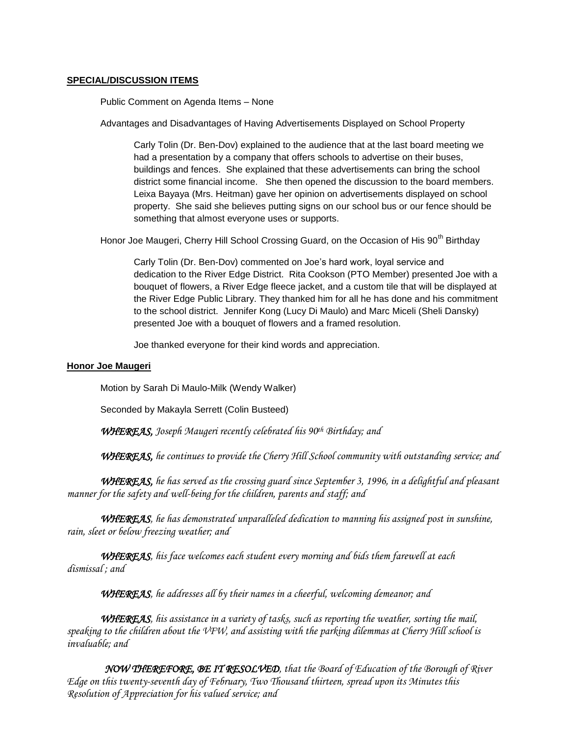# **SPECIAL/DISCUSSION ITEMS**

Public Comment on Agenda Items – None

Advantages and Disadvantages of Having Advertisements Displayed on School Property

Carly Tolin (Dr. Ben-Dov) explained to the audience that at the last board meeting we had a presentation by a company that offers schools to advertise on their buses, buildings and fences. She explained that these advertisements can bring the school district some financial income. She then opened the discussion to the board members. Leixa Bayaya (Mrs. Heitman) gave her opinion on advertisements displayed on school property. She said she believes putting signs on our school bus or our fence should be something that almost everyone uses or supports.

Honor Joe Maugeri, Cherry Hill School Crossing Guard, on the Occasion of His 90<sup>th</sup> Birthdav

Carly Tolin (Dr. Ben-Dov) commented on Joe's hard work, loyal service and dedication to the River Edge District. Rita Cookson (PTO Member) presented Joe with a bouquet of flowers, a River Edge fleece jacket, and a custom tile that will be displayed at the River Edge Public Library. They thanked him for all he has done and his commitment to the school district. Jennifer Kong (Lucy Di Maulo) and Marc Miceli (Sheli Dansky) presented Joe with a bouquet of flowers and a framed resolution.

Joe thanked everyone for their kind words and appreciation.

# **Honor Joe Maugeri**

Motion by Sarah Di Maulo-Milk (Wendy Walker)

Seconded by Makayla Serrett (Colin Busteed)

*WHEREAS, Joseph Maugeri recently celebrated his 90th Birthday; and*

*WHEREAS, he continues to provide the Cherry Hill School community with outstanding service; and*

*WHEREAS, he has served as the crossing guard since September 3, 1996, in a delightful and pleasant manner for the safety and well-being for the children, parents and staff; and* 

*WHEREAS, he has demonstrated unparalleled dedication to manning his assigned post in sunshine, rain, sleet or below freezing weather; and*

*WHEREAS, his face welcomes each student every morning and bids them farewell at each dismissal ; and*

*WHEREAS, he addresses all by their names in a cheerful, welcoming demeanor; and*

*WHEREAS, his assistance in a variety of tasks, such as reporting the weather, sorting the mail, speaking to the children about the VFW, and assisting with the parking dilemmas at Cherry Hill school is invaluable; and*

*NOW THEREFORE, BE IT RESOLVED, that the Board of Education of the Borough of River Edge on this twenty-seventh day of February, Two Thousand thirteen, spread upon its Minutes this Resolution of Appreciation for his valued service; and*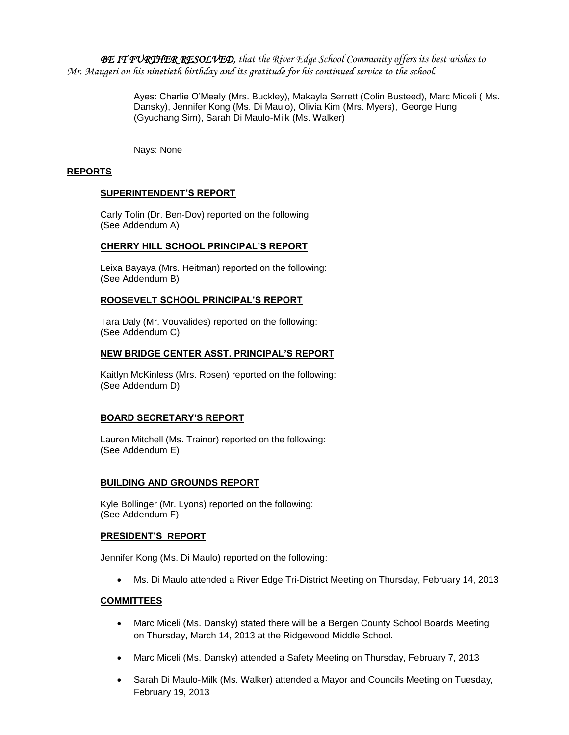*BE IT FURTHER RESOLVED, that the River Edge School Community offers its best wishes to Mr. Maugeri on his ninetieth birthday and its gratitude for his continued service to the school.* 

> Ayes: Charlie O'Mealy (Mrs. Buckley), Makayla Serrett (Colin Busteed), Marc Miceli ( Ms. Dansky), Jennifer Kong (Ms. Di Maulo), Olivia Kim (Mrs. Myers), George Hung (Gyuchang Sim), Sarah Di Maulo-Milk (Ms. Walker)

Nays: None

# **REPORTS**

# **SUPERINTENDENT'S REPORT**

Carly Tolin (Dr. Ben-Dov) reported on the following: (See Addendum A)

# **CHERRY HILL SCHOOL PRINCIPAL'S REPORT**

Leixa Bayaya (Mrs. Heitman) reported on the following: (See Addendum B)

# **ROOSEVELT SCHOOL PRINCIPAL'S REPORT**

Tara Daly (Mr. Vouvalides) reported on the following: (See Addendum C)

# **NEW BRIDGE CENTER ASST. PRINCIPAL'S REPORT**

Kaitlyn McKinless (Mrs. Rosen) reported on the following: (See Addendum D)

# **BOARD SECRETARY'S REPORT**

Lauren Mitchell (Ms. Trainor) reported on the following: (See Addendum E)

# **BUILDING AND GROUNDS REPORT**

Kyle Bollinger (Mr. Lyons) reported on the following: (See Addendum F)

# **PRESIDENT'S REPORT**

Jennifer Kong (Ms. Di Maulo) reported on the following:

Ms. Di Maulo attended a River Edge Tri-District Meeting on Thursday, February 14, 2013

# **COMMITTEES**

- Marc Miceli (Ms. Dansky) stated there will be a Bergen County School Boards Meeting on Thursday, March 14, 2013 at the Ridgewood Middle School.
- Marc Miceli (Ms. Dansky) attended a Safety Meeting on Thursday, February 7, 2013
- Sarah Di Maulo-Milk (Ms. Walker) attended a Mayor and Councils Meeting on Tuesday, February 19, 2013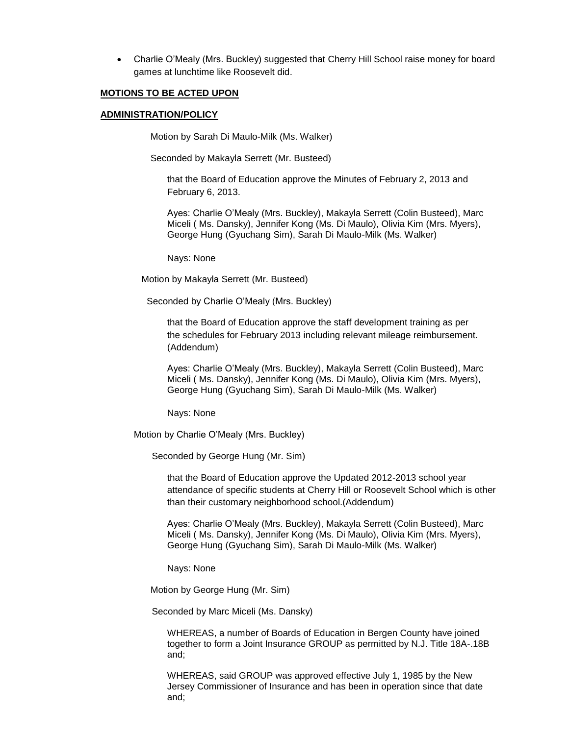Charlie O'Mealy (Mrs. Buckley) suggested that Cherry Hill School raise money for board games at lunchtime like Roosevelt did.

### **MOTIONS TO BE ACTED UPON**

### **ADMINISTRATION/POLICY**

Motion by Sarah Di Maulo-Milk (Ms. Walker)

Seconded by Makayla Serrett (Mr. Busteed)

that the Board of Education approve the Minutes of February 2, 2013 and February 6, 2013.

Ayes: Charlie O'Mealy (Mrs. Buckley), Makayla Serrett (Colin Busteed), Marc Miceli ( Ms. Dansky), Jennifer Kong (Ms. Di Maulo), Olivia Kim (Mrs. Myers), George Hung (Gyuchang Sim), Sarah Di Maulo-Milk (Ms. Walker)

Nays: None

Motion by Makayla Serrett (Mr. Busteed)

Seconded by Charlie O'Mealy (Mrs. Buckley)

that the Board of Education approve the staff development training as per the schedules for February 2013 including relevant mileage reimbursement. (Addendum)

Ayes: Charlie O'Mealy (Mrs. Buckley), Makayla Serrett (Colin Busteed), Marc Miceli ( Ms. Dansky), Jennifer Kong (Ms. Di Maulo), Olivia Kim (Mrs. Myers), George Hung (Gyuchang Sim), Sarah Di Maulo-Milk (Ms. Walker)

Nays: None

Motion by Charlie O'Mealy (Mrs. Buckley)

Seconded by George Hung (Mr. Sim)

that the Board of Education approve the Updated 2012-2013 school year attendance of specific students at Cherry Hill or Roosevelt School which is other than their customary neighborhood school.(Addendum)

Ayes: Charlie O'Mealy (Mrs. Buckley), Makayla Serrett (Colin Busteed), Marc Miceli ( Ms. Dansky), Jennifer Kong (Ms. Di Maulo), Olivia Kim (Mrs. Myers), George Hung (Gyuchang Sim), Sarah Di Maulo-Milk (Ms. Walker)

Nays: None

Motion by George Hung (Mr. Sim)

Seconded by Marc Miceli (Ms. Dansky)

WHEREAS, a number of Boards of Education in Bergen County have joined together to form a Joint Insurance GROUP as permitted by N.J. Title 18A-.18B and;

WHEREAS, said GROUP was approved effective July 1, 1985 by the New Jersey Commissioner of Insurance and has been in operation since that date and;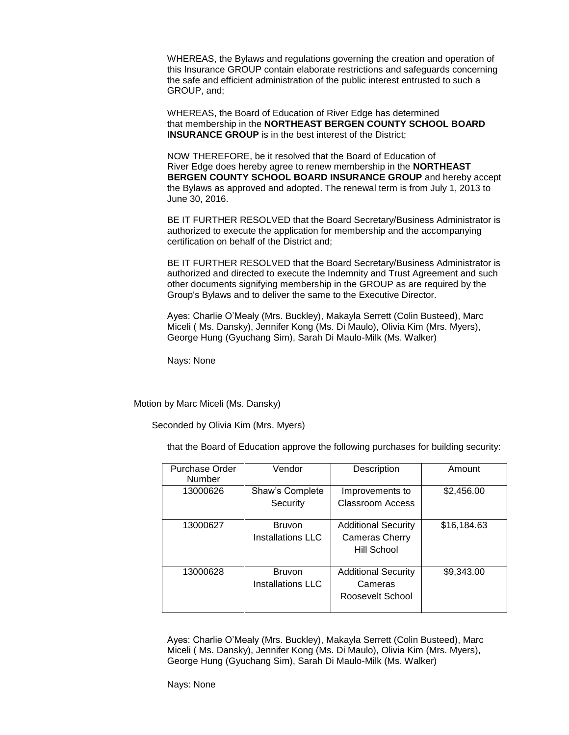WHEREAS, the Bylaws and regulations governing the creation and operation of this Insurance GROUP contain elaborate restrictions and safeguards concerning the safe and efficient administration of the public interest entrusted to such a GROUP, and;

WHEREAS, the Board of Education of River Edge has determined that membership in the **NORTHEAST BERGEN COUNTY SCHOOL BOARD INSURANCE GROUP** is in the best interest of the District;

NOW THEREFORE, be it resolved that the Board of Education of River Edge does hereby agree to renew membership in the **NORTHEAST BERGEN COUNTY SCHOOL BOARD INSURANCE GROUP** and hereby accept the Bylaws as approved and adopted. The renewal term is from July 1, 2013 to June 30, 2016.

BE IT FURTHER RESOLVED that the Board Secretary/Business Administrator is authorized to execute the application for membership and the accompanying certification on behalf of the District and;

BE IT FURTHER RESOLVED that the Board Secretary/Business Administrator is authorized and directed to execute the Indemnity and Trust Agreement and such other documents signifying membership in the GROUP as are required by the Group's Bylaws and to deliver the same to the Executive Director.

Ayes: Charlie O'Mealy (Mrs. Buckley), Makayla Serrett (Colin Busteed), Marc Miceli ( Ms. Dansky), Jennifer Kong (Ms. Di Maulo), Olivia Kim (Mrs. Myers), George Hung (Gyuchang Sim), Sarah Di Maulo-Milk (Ms. Walker)

Nays: None

Motion by Marc Miceli (Ms. Dansky)

Seconded by Olivia Kim (Mrs. Myers)

that the Board of Education approve the following purchases for building security:

| <b>Purchase Order</b><br>Number | Vendor                             | Description                                                        | Amount      |
|---------------------------------|------------------------------------|--------------------------------------------------------------------|-------------|
| 13000626                        | Shaw's Complete<br>Security        | Improvements to<br><b>Classroom Access</b>                         | \$2,456.00  |
| 13000627                        | <b>Bruvon</b><br>Installations LLC | <b>Additional Security</b><br><b>Cameras Cherry</b><br>Hill School | \$16,184.63 |
| 13000628                        | <b>Bruvon</b><br>Installations LLC | <b>Additional Security</b><br>Cameras<br>Roosevelt School          | \$9,343.00  |

Ayes: Charlie O'Mealy (Mrs. Buckley), Makayla Serrett (Colin Busteed), Marc Miceli ( Ms. Dansky), Jennifer Kong (Ms. Di Maulo), Olivia Kim (Mrs. Myers), George Hung (Gyuchang Sim), Sarah Di Maulo-Milk (Ms. Walker)

Nays: None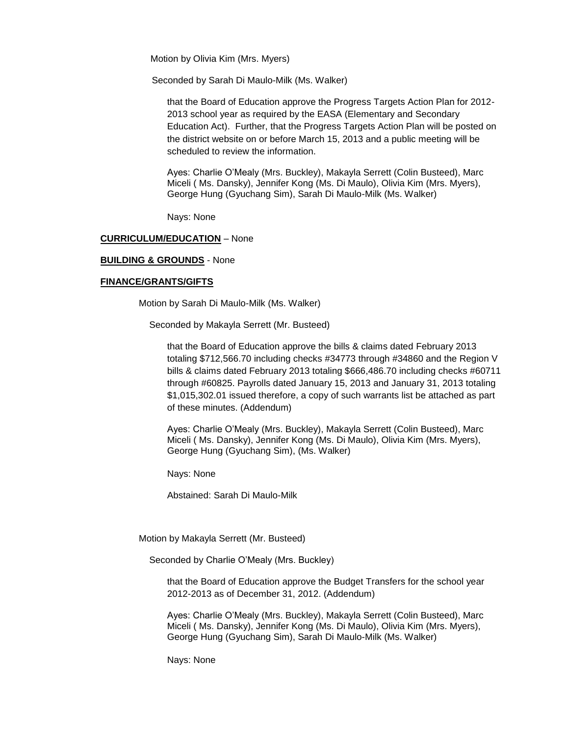Motion by Olivia Kim (Mrs. Myers)

Seconded by Sarah Di Maulo-Milk (Ms. Walker)

that the Board of Education approve the Progress Targets Action Plan for 2012- 2013 school year as required by the EASA (Elementary and Secondary Education Act). Further, that the Progress Targets Action Plan will be posted on the district website on or before March 15, 2013 and a public meeting will be scheduled to review the information.

Ayes: Charlie O'Mealy (Mrs. Buckley), Makayla Serrett (Colin Busteed), Marc Miceli ( Ms. Dansky), Jennifer Kong (Ms. Di Maulo), Olivia Kim (Mrs. Myers), George Hung (Gyuchang Sim), Sarah Di Maulo-Milk (Ms. Walker)

Nays: None

### **CURRICULUM/EDUCATION** – None

### **BUILDING & GROUNDS** - None

### **FINANCE/GRANTS/GIFTS**

Motion by Sarah Di Maulo-Milk (Ms. Walker)

Seconded by Makayla Serrett (Mr. Busteed)

that the Board of Education approve the bills & claims dated February 2013 totaling \$712,566.70 including checks #34773 through #34860 and the Region V bills & claims dated February 2013 totaling \$666,486.70 including checks #60711 through #60825. Payrolls dated January 15, 2013 and January 31, 2013 totaling \$1,015,302.01 issued therefore, a copy of such warrants list be attached as part of these minutes. (Addendum)

Ayes: Charlie O'Mealy (Mrs. Buckley), Makayla Serrett (Colin Busteed), Marc Miceli ( Ms. Dansky), Jennifer Kong (Ms. Di Maulo), Olivia Kim (Mrs. Myers), George Hung (Gyuchang Sim), (Ms. Walker)

Nays: None

Abstained: Sarah Di Maulo-Milk

Motion by Makayla Serrett (Mr. Busteed)

Seconded by Charlie O'Mealy (Mrs. Buckley)

that the Board of Education approve the Budget Transfers for the school year 2012-2013 as of December 31, 2012. (Addendum)

Ayes: Charlie O'Mealy (Mrs. Buckley), Makayla Serrett (Colin Busteed), Marc Miceli ( Ms. Dansky), Jennifer Kong (Ms. Di Maulo), Olivia Kim (Mrs. Myers), George Hung (Gyuchang Sim), Sarah Di Maulo-Milk (Ms. Walker)

Nays: None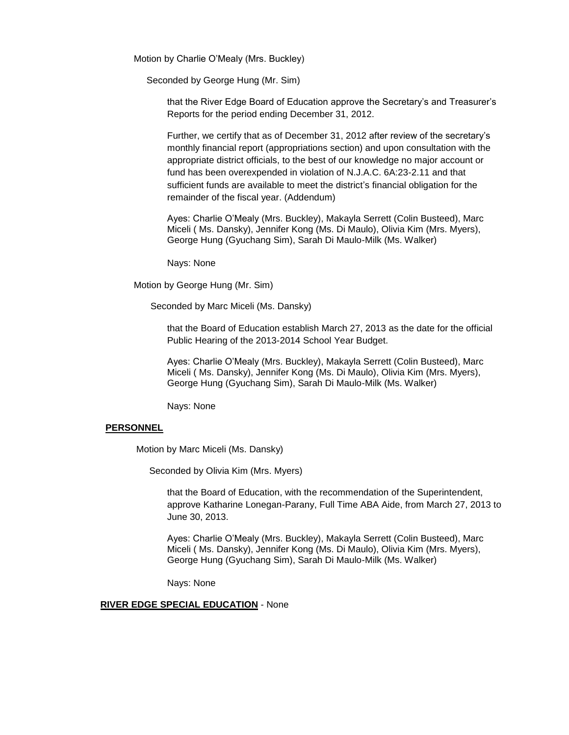Motion by Charlie O'Mealy (Mrs. Buckley)

Seconded by George Hung (Mr. Sim)

that the River Edge Board of Education approve the Secretary's and Treasurer's Reports for the period ending December 31, 2012.

Further, we certify that as of December 31, 2012 after review of the secretary's monthly financial report (appropriations section) and upon consultation with the appropriate district officials, to the best of our knowledge no major account or fund has been overexpended in violation of N.J.A.C. 6A:23-2.11 and that sufficient funds are available to meet the district's financial obligation for the remainder of the fiscal year. (Addendum)

Ayes: Charlie O'Mealy (Mrs. Buckley), Makayla Serrett (Colin Busteed), Marc Miceli ( Ms. Dansky), Jennifer Kong (Ms. Di Maulo), Olivia Kim (Mrs. Myers), George Hung (Gyuchang Sim), Sarah Di Maulo-Milk (Ms. Walker)

Nays: None

Motion by George Hung (Mr. Sim)

Seconded by Marc Miceli (Ms. Dansky)

that the Board of Education establish March 27, 2013 as the date for the official Public Hearing of the 2013-2014 School Year Budget.

Ayes: Charlie O'Mealy (Mrs. Buckley), Makayla Serrett (Colin Busteed), Marc Miceli ( Ms. Dansky), Jennifer Kong (Ms. Di Maulo), Olivia Kim (Mrs. Myers), George Hung (Gyuchang Sim), Sarah Di Maulo-Milk (Ms. Walker)

Nays: None

### **PERSONNEL**

Motion by Marc Miceli (Ms. Dansky)

Seconded by Olivia Kim (Mrs. Myers)

that the Board of Education, with the recommendation of the Superintendent, approve Katharine Lonegan-Parany, Full Time ABA Aide, from March 27, 2013 to June 30, 2013.

Ayes: Charlie O'Mealy (Mrs. Buckley), Makayla Serrett (Colin Busteed), Marc Miceli ( Ms. Dansky), Jennifer Kong (Ms. Di Maulo), Olivia Kim (Mrs. Myers), George Hung (Gyuchang Sim), Sarah Di Maulo-Milk (Ms. Walker)

Nays: None

**RIVER EDGE SPECIAL EDUCATION** - None